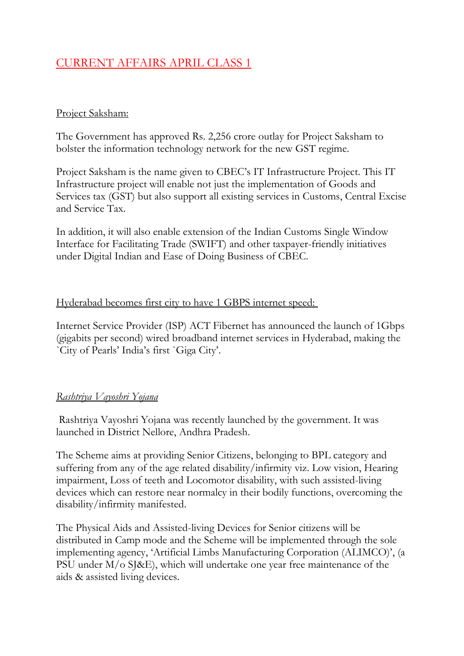# CURRENT AFFAIRS APRIL CLASS 1

#### Project Saksham:

The Government has approved Rs. 2,256 crore outlay for Project Saksham to bolster the information technology network for the new GST regime.

Project Saksham is the name given to CBEC's IT Infrastructure Project. This IT Infrastructure project will enable not just the implementation of Goods and Services tax (GST) but also support all existing services in Customs, Central Excise and Service Tax.

In addition, it will also enable extension of the Indian Customs Single Window Interface for Facilitating Trade (SWIFT) and other taxpayer-friendly initiatives under Digital Indian and Ease of Doing Business of CBEC.

#### Hyderabad becomes first city to have 1 GBPS internet speed:

Internet Service Provider (ISP) ACT Fibernet has announced the launch of 1Gbps (gigabits per second) wired broadband internet services in Hyderabad, making the `City of Pearls' India's first `Giga City'.

## *Rashtriya Vayoshri Yojana*

Rashtriya Vayoshri Yojana was recently launched by the government. It was launched in District Nellore, Andhra Pradesh.

The Scheme aims at providing Senior Citizens, belonging to BPL category and suffering from any of the age related disability/infirmity viz. Low vision, Hearing impairment, Loss of teeth and Locomotor disability, with such assisted-living devices which can restore near normalcy in their bodily functions, overcoming the disability/infirmity manifested.

The Physical Aids and Assisted-living Devices for Senior citizens will be distributed in Camp mode and the Scheme will be implemented through the sole implementing agency, 'Artificial Limbs Manufacturing Corporation (ALIMCO)', (a PSU under M/o SJ&E), which will undertake one year free maintenance of the aids & assisted living devices.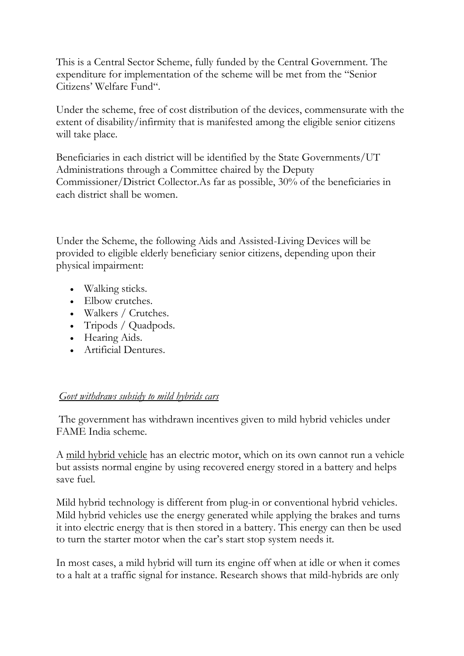This is a Central Sector Scheme, fully funded by the Central Government. The expenditure for implementation of the scheme will be met from the "Senior Citizens' Welfare Fund".

Under the scheme, free of cost distribution of the devices, commensurate with the extent of disability/infirmity that is manifested among the eligible senior citizens will take place.

Beneficiaries in each district will be identified by the State Governments/UT Administrations through a Committee chaired by the Deputy Commissioner/District Collector.As far as possible, 30% of the beneficiaries in each district shall be women.

Under the Scheme, the following Aids and Assisted-Living Devices will be provided to eligible elderly beneficiary senior citizens, depending upon their physical impairment:

- Walking sticks.
- Elbow crutches.
- Walkers / Crutches.
- Tripods / Quadpods.
- Hearing Aids.
- Artificial Dentures.

## *Govt withdraws subsidy to mild hybrids cars*

The government has withdrawn incentives given to mild hybrid vehicles under FAME India scheme.

A [mild hybrid vehicle](http://auto.howstuffworks.com/fuel-efficiency/hybrid-technology/mild-hybrid.htm) has an electric motor, which on its own cannot run a vehicle but assists normal engine by using recovered energy stored in a battery and helps save fuel.

Mild hybrid technology is different from plug-in or conventional hybrid vehicles. Mild hybrid vehicles use the energy generated while applying the brakes and turns it into electric energy that is then stored in a battery. This energy can then be used to turn the starter motor when the car's start stop system needs it.

In most cases, a mild hybrid will turn its engine off when at idle or when it comes to a halt at a traffic signal for instance. Research shows that mild-hybrids are only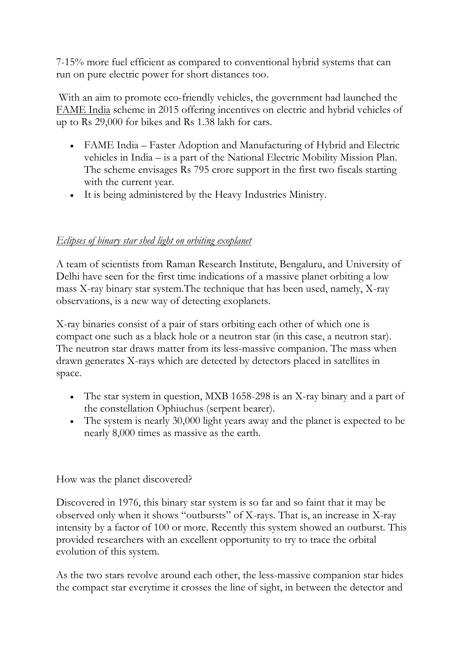7-15% more fuel efficient as compared to conventional hybrid systems that can run on pure electric power for short distances too.

With an aim to promote eco-friendly vehicles, the government had launched the [FAME India](http://www.fame-india.gov.in/) scheme in 2015 offering incentives on electric and hybrid vehicles of up to Rs 29,000 for bikes and Rs 1.38 lakh for cars.

- FAME India Faster Adoption and Manufacturing of Hybrid and Electric vehicles in India – is a part of the National Electric Mobility Mission Plan. The scheme envisages Rs 795 crore support in the first two fiscals starting with the current year.
- It is being administered by the Heavy Industries Ministry.

## *Eclipses of binary star shed light on orbiting exoplanet*

A team of scientists from Raman Research Institute, Bengaluru, and University of Delhi have seen for the first time indications of a massive planet orbiting a low mass X-ray binary star system.The technique that has been used, namely, X-ray observations, is a new way of detecting exoplanets.

X-ray binaries consist of a pair of stars orbiting each other of which one is compact one such as a black hole or a neutron star (in this case, a neutron star). The neutron star draws matter from its less-massive companion. The mass when drawn generates X-rays which are detected by detectors placed in satellites in space.

- The star system in question, MXB 1658-298 is an X-ray binary and a part of the constellation Ophiuchus (serpent bearer).
- The system is nearly 30,000 light years away and the planet is expected to be nearly 8,000 times as massive as the earth.

## How was the planet discovered?

Discovered in 1976, this binary star system is so far and so faint that it may be observed only when it shows "outbursts" of X-rays. That is, an increase in X-ray intensity by a factor of 100 or more. Recently this system showed an outburst. This provided researchers with an excellent opportunity to try to trace the orbital evolution of this system.

As the two stars revolve around each other, the less-massive companion star hides the compact star everytime it crosses the line of sight, in between the detector and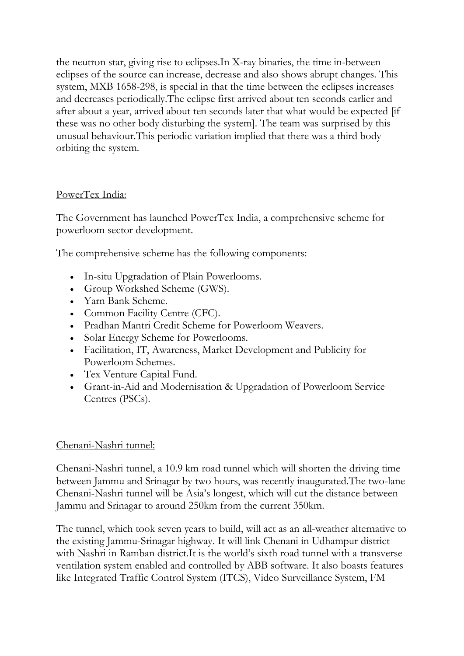the neutron star, giving rise to eclipses.In X-ray binaries, the time in-between eclipses of the source can increase, decrease and also shows abrupt changes. This system, MXB 1658-298, is special in that the time between the eclipses increases and decreases periodically.The eclipse first arrived about ten seconds earlier and after about a year, arrived about ten seconds later that what would be expected [if these was no other body disturbing the system]. The team was surprised by this unusual behaviour.This periodic variation implied that there was a third body orbiting the system.

## PowerTex India:

The Government has launched PowerTex India, a comprehensive scheme for powerloom sector development.

The comprehensive scheme has the following components:

- In-situ Upgradation of Plain Powerlooms.
- Group Workshed Scheme (GWS).
- Yarn Bank Scheme.
- Common Facility Centre (CFC).
- Pradhan Mantri Credit Scheme for Powerloom Weavers.
- Solar Energy Scheme for Powerlooms.
- Facilitation, IT, Awareness, Market Development and Publicity for Powerloom Schemes.
- Tex Venture Capital Fund.
- Grant-in-Aid and Modernisation & Upgradation of Powerloom Service Centres (PSCs).

## Chenani-Nashri tunnel:

Chenani-Nashri tunnel, a 10.9 km road tunnel which will shorten the driving time between Jammu and Srinagar by two hours, was recently inaugurated.The two-lane Chenani-Nashri tunnel will be Asia's longest, which will cut the distance between Jammu and Srinagar to around 250km from the current 350km.

The tunnel, which took seven years to build, will act as an all-weather alternative to the existing Jammu-Srinagar highway. It will link Chenani in Udhampur district with Nashri in Ramban district.It is the world's sixth road tunnel with a transverse ventilation system enabled and controlled by ABB software. It also boasts features like Integrated Traffic Control System (ITCS), Video Surveillance System, FM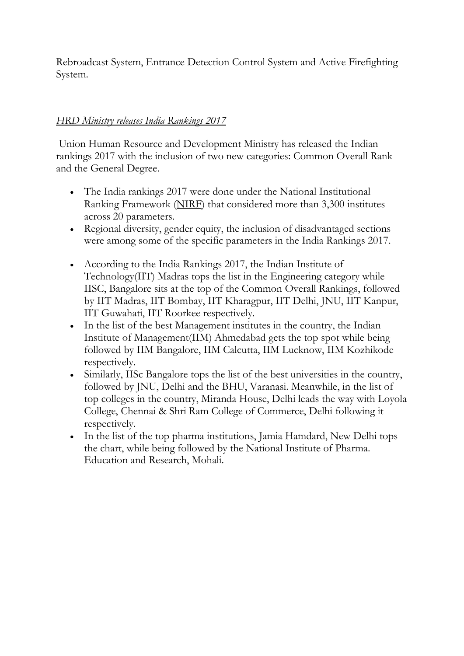Rebroadcast System, Entrance Detection Control System and Active Firefighting System.

## *HRD Ministry releases India Rankings 2017*

Union Human Resource and Development Ministry has released the Indian rankings 2017 with the inclusion of two new categories: Common Overall Rank and the General Degree.

- The India rankings 2017 were done under the National Institutional Ranking Framework [\(NIRF\)](https://www.nirfindia.org/Home) that considered more than 3,300 institutes across 20 parameters.
- Regional diversity, gender equity, the inclusion of disadvantaged sections were among some of the specific parameters in the India Rankings 2017.
- According to the India Rankings 2017, the Indian Institute of Technology(IIT) Madras tops the list in the Engineering category while IISC, Bangalore sits at the top of the Common Overall Rankings, followed by IIT Madras, IIT Bombay, IIT Kharagpur, IIT Delhi, JNU, IIT Kanpur, IIT Guwahati, IIT Roorkee respectively.
- In the list of the best Management institutes in the country, the Indian Institute of Management(IIM) Ahmedabad gets the top spot while being followed by IIM Bangalore, IIM Calcutta, IIM Lucknow, IIM Kozhikode respectively.
- Similarly, IISc Bangalore tops the list of the best universities in the country, followed by JNU, Delhi and the BHU, Varanasi. Meanwhile, in the list of top colleges in the country, Miranda House, Delhi leads the way with Loyola College, Chennai & Shri Ram College of Commerce, Delhi following it respectively.
- In the list of the top pharma institutions, Jamia Hamdard, New Delhi tops the chart, while being followed by the National Institute of Pharma. Education and Research, Mohali.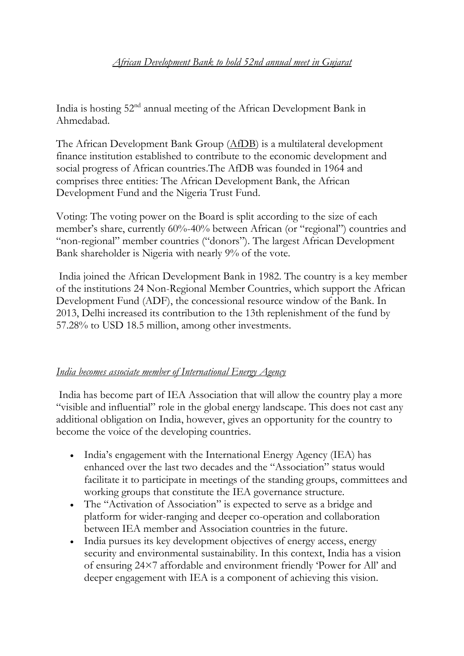India is hosting 52nd annual meeting of the African Development Bank in Ahmedabad.

The African Development Bank Group [\(AfDB\)](https://www.afdb.org/en/) is a multilateral development finance institution established to contribute to the economic development and social progress of African countries.The AfDB was founded in 1964 and comprises three entities: The African Development Bank, the African Development Fund and the Nigeria Trust Fund.

Voting: The voting power on the Board is split according to the size of each member's share, currently 60%-40% between African (or "regional") countries and "non-regional" member countries ("donors"). The largest African Development Bank shareholder is Nigeria with nearly 9% of the vote.

India joined the African Development Bank in 1982. The country is a key member of the institutions 24 Non-Regional Member Countries, which support the African Development Fund (ADF), the concessional resource window of the Bank. In 2013, Delhi increased its contribution to the 13th replenishment of the fund by 57.28% to USD 18.5 million, among other investments.

## *India becomes associate member of International Energy Agency*

India has become part of IEA Association that will allow the country play a more "visible and influential" role in the global energy landscape. This does not cast any additional obligation on India, however, gives an opportunity for the country to become the voice of the developing countries.

- India's engagement with the International Energy Agency (IEA) has enhanced over the last two decades and the "Association" status would facilitate it to participate in meetings of the standing groups, committees and working groups that constitute the IEA governance structure.
- The "Activation of Association" is expected to serve as a bridge and platform for wider-ranging and deeper co-operation and collaboration between IEA member and Association countries in the future.
- India pursues its key development objectives of energy access, energy security and environmental sustainability. In this context, India has a vision of ensuring 24×7 affordable and environment friendly 'Power for All' and deeper engagement with IEA is a component of achieving this vision.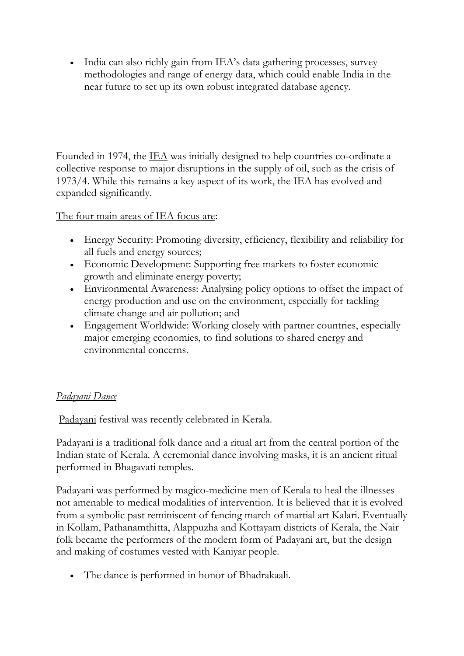• India can also richly gain from IEA's data gathering processes, survey methodologies and range of energy data, which could enable India in the near future to set up its own robust integrated database agency.

Founded in 1974, the <u>IEA</u> was initially designed to help countries co-ordinate a collective response to major disruptions in the supply of oil, such as the crisis of 1973/4. While this remains a key aspect of its work, the IEA has evolved and expanded significantly.

The four main areas of IEA focus are:

- Energy Security: Promoting diversity, efficiency, flexibility and reliability for all fuels and energy sources;
- Economic Development: Supporting free markets to foster economic growth and eliminate energy poverty;
- Environmental Awareness: Analysing policy options to offset the impact of energy production and use on the environment, especially for tackling climate change and air pollution; and
- Engagement Worldwide: Working closely with partner countries, especially major emerging economies, to find solutions to shared energy and environmental concerns.

## *Padayani Dance*

[Padayani](http://keralaculture.org/patayani/80) festival was recently celebrated in Kerala.

Padayani is a traditional folk dance and a ritual art from the central portion of the Indian state of Kerala. A ceremonial dance involving masks, it is an ancient ritual performed in Bhagavati temples.

Padayani was performed by magico-medicine men of Kerala to heal the illnesses not amenable to medical modalities of intervention. It is believed that it is evolved from a symbolic past reminiscent of fencing march of martial art Kalari. Eventually in Kollam, Pathanamthitta, Alappuzha and Kottayam districts of Kerala, the Nair folk became the performers of the modern form of Padayani art, but the design and making of costumes vested with Kaniyar people.

The dance is performed in honor of Bhadrakaali.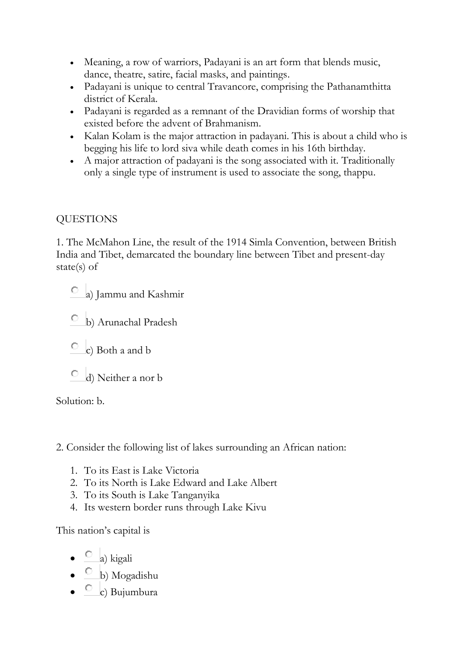- Meaning, a row of warriors, Padayani is an art form that blends music, dance, theatre, satire, facial masks, and paintings.
- Padayani is unique to central Travancore, comprising the Pathanamthitta district of Kerala.
- Padayani is regarded as a remnant of the Dravidian forms of worship that existed before the advent of Brahmanism.
- Kalan Kolam is the major attraction in padayani. This is about a child who is begging his life to lord siva while death comes in his 16th birthday.
- A major attraction of padayani is the song associated with it. Traditionally only a single type of instrument is used to associate the song, thappu.

# **QUESTIONS**

1. The McMahon Line, the result of the 1914 Simla Convention, between British India and Tibet, demarcated the boundary line between Tibet and present-day state(s) of

- a) Jammu and Kashmir
- b) Arunachal Pradesh
- $\overline{c}$  c) Both a and b
- d) Neither a nor b

Solution: b.

2. Consider the following list of lakes surrounding an African nation:

- 1. To its East is Lake Victoria
- 2. To its North is Lake Edward and Lake Albert
- 3. To its South is Lake Tanganyika
- 4. Its western border runs through Lake Kivu

This nation's capital is

- a) kigali
- b) Mogadishu
- c) Bujumbura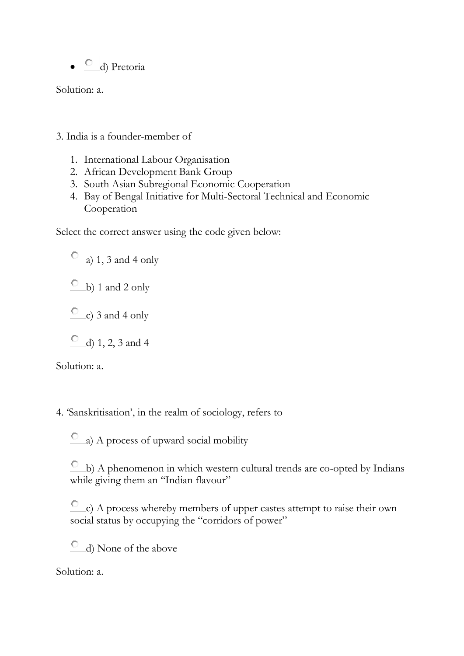$\bullet$  d) Pretoria

Solution: a.

- 3. India is a founder-member of
	- 1. International Labour Organisation
	- 2. African Development Bank Group
	- 3. South Asian Subregional Economic Cooperation
	- 4. Bay of Bengal Initiative for Multi-Sectoral Technical and Economic Cooperation

Select the correct answer using the code given below:

 $\overline{a}$  a) 1, 3 and 4 only

 $\overline{O}$  b) 1 and 2 only

 $\degree$  c) 3 and 4 only

 $\circ$  d) 1, 2, 3 and 4

Solution: a.

4. 'Sanskritisation', in the realm of sociology, refers to

 $\circ$  a) A process of upward social mobility

 $\circ$  b) A phenomenon in which western cultural trends are co-opted by Indians while giving them an "Indian flavour"

О. c) A process whereby members of upper castes attempt to raise their own social status by occupying the "corridors of power"

d) None of the above O

Solution: a.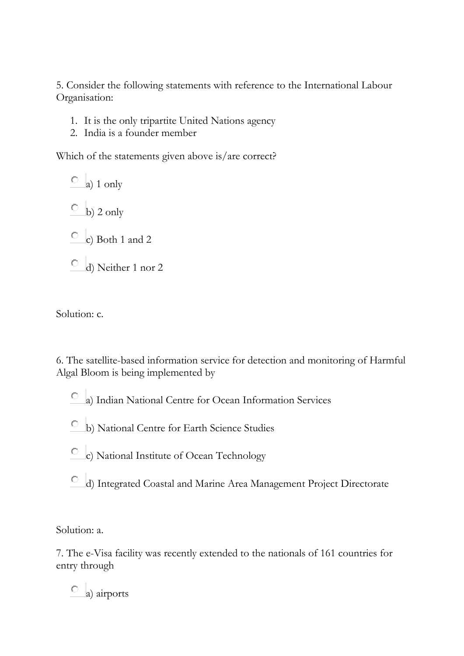5. Consider the following statements with reference to the International Labour Organisation:

- 1. It is the only tripartite United Nations agency
- 2. India is a founder member

Which of the statements given above is/are correct?

 $\overline{a}$  a) 1 only  $\circ$  b) 2 only  $\circ$  c) Both 1 and 2 d) Neither 1 nor 2

Solution: c.

6. The satellite-based information service for detection and monitoring of Harmful Algal Bloom is being implemented by

- a) Indian National Centre for Ocean Information Services
- b) National Centre for Earth Science Studies
- c) National Institute of Ocean Technology
- d) Integrated Coastal and Marine Area Management Project Directorate

Solution: a.

7. The e-Visa facility was recently extended to the nationals of 161 countries for entry through

 $\circ$  a) airports